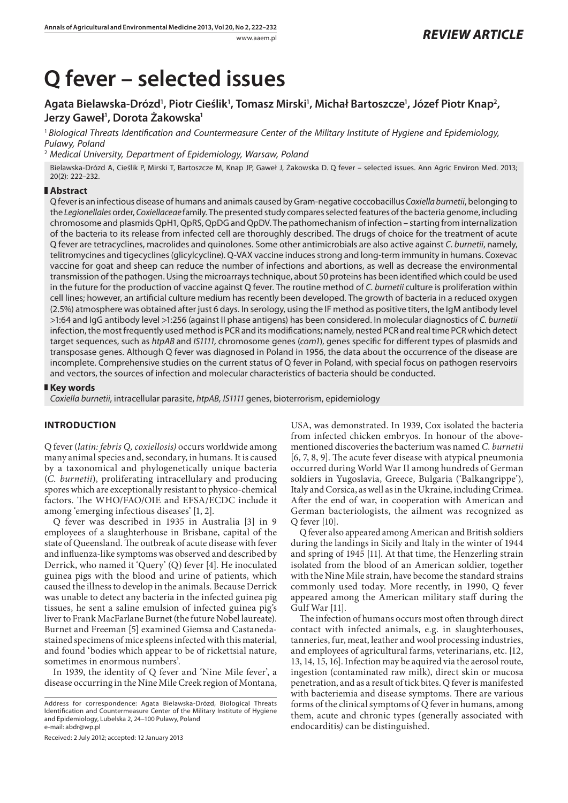# **Q fever – selected issues**

## Agata Bielawska-Drózd', Piotr Cieślik', Tomasz Mirski', Michał Bartoszcze', Józef Piotr Knap<sup>2</sup>, **Jerzy Gaweł1 , Dorota Żakowska1**

<sup>1</sup> *Biological Threats Identification and Countermeasure Center of the Military Institute of Hygiene and Epidemiology, Pulawy, Poland*

2  *Medical University, Department of Epidemiology, Warsaw, Poland*

Bielawska-Drózd A, Cieślik P, Mirski T, Bartoszcze M, Knap JP, Gaweł J, Żakowska D. Q fever – selected issues. Ann Agric Environ Med. 2013; 20(2): 222–232.

## **Abstract**

Q fever is an infectious disease of humans and animals caused by Gram-negative coccobacillus *Coxiella burnetii*, belonging to the *Legionellales* order, *Coxiellaceae* family*.* The presented study compares selected features of the bacteria genome, including chromosome and plasmids QpH1, QpRS, QpDG and QpDV. The pathomechanism of infection – starting from internalization of the bacteria to its release from infected cell are thoroughly described. The drugs of choice for the treatment of acute Q fever are tetracyclines, macrolides and quinolones. Some other antimicrobials are also active against *C. burnetii*, namely, telitromycines and tigecyclines (glicylcycline). Q-VAX vaccine induces strong and long-term immunity in humans. Coxevac vaccine for goat and sheep can reduce the number of infections and abortions, as well as decrease the environmental transmission of the pathogen. Using the microarrays technique, about 50 proteins has been identified which could be used in the future for the production of vaccine against Q fever. The routine method of *C. burnetii* culture is proliferation within cell lines; however, an artificial culture medium has recently been developed. The growth of bacteria in a reduced oxygen (2.5%) atmosphere was obtained after just 6 days. In serology, using the IF method as positive titers, the IgM antibody level >1:64 and IgG antibody level >1:256 (against II phase antigens) has been considered. In molecular diagnostics of *C. burnetii*  infection, the most frequently used method is PCR and its modifications; namely, nested PCR and real time PCR which detect target sequences, such as *htpAB* and *IS1111,* chromosome genes (*com1*), genes specific for different types of plasmids and transposase genes. Although Q fever was diagnosed in Poland in 1956, the data about the occurrence of the disease are incomplete. Comprehensive studies on the current status of Q fever in Poland, with special focus on pathogen reservoirs and vectors, the sources of infection and molecular characteristics of bacteria should be conducted.

### **Key words**

*Coxiella burnetii*, intracellular parasite, *htpAB, IS1111* genes, bioterrorism, epidemiology

## **INTRODUCTION**

Q fever (*latin: febris Q, coxiellosis)* occurs worldwide among many animal species and, secondary, in humans. It is caused by a taxonomical and phylogenetically unique bacteria (*C. burnetii*), proliferating intracellulary and producing spores which are exceptionally resistant to physico-chemical factors. The WHO/FAO/OIE and EFSA/ECDC include it among 'emerging infectious diseases' [1, 2].

Q fever was described in 1935 in Australia [3] in 9 employees of a slaughterhouse in Brisbane, capital of the state of Queensland. The outbreak of acute disease with fever and influenza-like symptoms was observed and described by Derrick, who named it 'Query' (Q) fever [4]. He inoculated guinea pigs with the blood and urine of patients, which caused the illness to develop in the animals. Because Derrick was unable to detect any bacteria in the infected guinea pig tissues, he sent a saline emulsion of infected guinea pig's liver to Frank MacFarlane Burnet (the future Nobel laureate). Burnet and Freeman [5] examined Giemsa and Castanedastained specimens of mice spleens infected with this material, and found 'bodies which appear to be of rickettsial nature, sometimes in enormous numbers'.

In 1939, the identity of Q fever and 'Nine Mile fever', a disease occurring in the Nine Mile Creek region of Montana,

Received: 2 July 2012; accepted: 12 January 2013

USA, was demonstrated. In 1939, Cox isolated the bacteria from infected chicken embryos. In honour of the abovementioned discoveries the bacterium was named *C. burnetii* [6, 7, 8, 9]. The acute fever disease with atypical pneumonia occurred during World War II among hundreds of German soldiers in Yugoslavia, Greece, Bulgaria ('Balkangrippe'), Italy and Corsica, as well as in the Ukraine, including Crimea. After the end of war, in cooperation with American and German bacteriologists, the ailment was recognized as Q fever [10].

Q fever also appeared among American and British soldiers during the landings in Sicily and Italy in the winter of 1944 and spring of 1945 [11]. At that time, the Henzerling strain isolated from the blood of an American soldier, together with the Nine Mile strain, have become the standard strains commonly used today. More recently, in 1990, Q fever appeared among the American military staff during the Gulf War [11].

The infection of humans occurs most often through direct contact with infected animals, e.g. in slaughterhouses, tanneries, fur, meat, leather and wool processing industries, and employees of agricultural farms, veterinarians, etc. [12, 13, 14, 15, 16]. Infection may be aquired via the aerosol route, ingestion (contaminated raw milk), direct skin or mucosa penetration, and as a result of tick bites. Q fever is manifested with bacteriemia and disease symptoms. There are various forms of the clinical symptoms of Q fever in humans, among them, acute and chronic types (generally associated with endocarditis*)* can be distinguished.

Address for correspondence: Agata Bielawska-Drózd, Biological Threats Identification and Countermeasure Center of the Military Institute of Hygiene and Epidemiology, Lubelska 2, 24–100 Puławy, Poland e-mail: abdr@wp.pl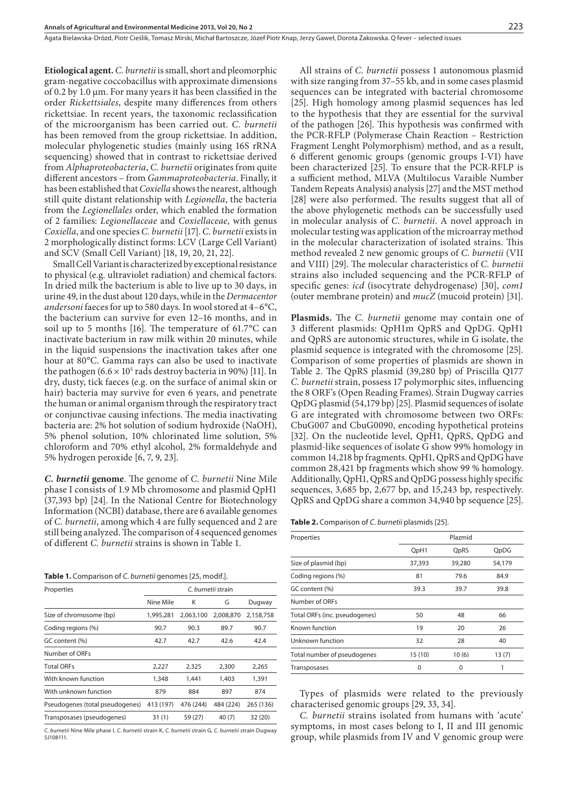**Etiological agent.** *C. burnetii* is small, short and pleomorphic gram-negative coccobacillus with approximate dimensions of 0.2 by 1.0 µm. For many years it has been classified in the order *Rickettsiales*, despite many differences from others rickettsiae. In recent years, the taxonomic reclassification of the microorganism has been carried out. *C. burnetii* has been removed from the group rickettsiae. In addition, molecular phylogenetic studies (mainly using 16S rRNA sequencing) showed that in contrast to rickettsiae derived from *Alphaproteobacteria*, *C. burnetii* originates from quite different ancestors – from *Gammaproteobacteria*. Finally, it has been established that *Coxiella* shows the nearest, although still quite distant relationship with *Legionella*, the bacteria from the *Legionellales* order, which enabled the formation of 2 families: *Legionellaceae* and *Coxiellaceae*, with genus *Coxiella*, and one species *C. burnetii* [17]. *C. burnetii* exists in 2 morphologically distinct forms: LCV (Large Cell Variant) and SCV (Small Cell Variant) [18, 19, 20, 21, 22].

Small Cell Variant is characterized by exceptional resistance to physical (e.g. ultraviolet radiation) and chemical factors. In dried milk the bacterium is able to live up to 30 days, in urine 49, in the dust about 120 days, while in the *Dermacentor andersoni* faeces for up to 580 days. In wool stored at 4–6°C, the bacterium can survive for even 12–16 months, and in soil up to 5 months [16]. The temperature of 61.7°C can inactivate bacterium in raw milk within 20 minutes, while in the liquid suspensions the inactivation takes after one hour at 80°C. Gamma rays can also be used to inactivate the pathogen (6.6  $\times$  10<sup>5</sup> rads destroy bacteria in 90%) [11]. In dry, dusty, tick faeces (e.g. on the surface of animal skin or hair) bacteria may survive for even 6 years, and penetrate the human or animal organism through the respiratory tract or conjunctivae causing infections. The media inactivating bacteria are: 2% hot solution of sodium hydroxide (NaOH), 5% phenol solution, 10% chlorinated lime solution, 5% chloroform and 70% ethyl alcohol, 2% formaldehyde and 5% hydrogen peroxide [6, 7, 9, 23].

*C. burnetii* **genome**. The genome of *C. burnetii* Nine Mile phase I consists of 1.9 Mb chromosome and plasmid QpH1 (37,393 bp) [24]. In the National Centre for Biotechnology Information (NCBI) database, there are 6 available genomes of *C. burnetii*, among which 4 are fully sequenced and 2 are still being analyzed. The comparison of 4 sequenced genomes of different *C. burnetii* strains is shown in Table 1.

**Table 1.** Comparison of *C. burnetii* genomes [25, modif.].

| Properties                      | C. burnetii strain |           |           |           |
|---------------------------------|--------------------|-----------|-----------|-----------|
|                                 | Nine Mile          | Κ         | G         | Dugway    |
| Size of chromosome (bp)         | 1,995,281          | 2,063,100 | 2.008.870 | 2,158,758 |
| Coding regions (%)              | 90.7               | 90.3      | 89.7      | 90.7      |
| GC content (%)                  | 42.7               | 42.7      | 42.6      | 42.4      |
| Number of ORFs                  |                    |           |           |           |
| <b>Total ORFs</b>               | 2,227              | 2,325     | 2,300     | 2,265     |
| With known function             | 1,348              | 1,441     | 1,403     | 1,391     |
| With unknown function           | 879                | 884       | 897       | 874       |
| Pseudogenes (total pseudogenes) | 413 (197)          | 476 (244) | 484 (224) | 265 (136) |
| Transposases (pseudogenes)      | 31(1)              | 59 (27)   | 40(7)     | 32 (20)   |
|                                 |                    |           |           |           |

*C. burnetii* Nine Mile phase I, *C. burnetii* strain K, *C. burnetii* strain G*, C. burnetii* strain Dugway 5J108111.

All strains of *C. burnetii* possess 1 autonomous plasmid with size ranging from 37–55 kb, and in some cases plasmid sequences can be integrated with bacterial chromosome [25]. High homology among plasmid sequences has led to the hypothesis that they are essential for the survival of the pathogen [26]. This hypothesis was confirmed with the PCR-RFLP (Polymerase Chain Reaction – Restriction Fragment Lenght Polymorphism) method, and as a result, 6 different genomic groups (genomic groups I-VI) have been characterized [25]. To ensure that the PCR-RFLP is a sufficient method, MLVA (Multilocus Varaible Number Tandem Repeats Analysis) analysis [27] and the MST method [28] were also performed. The results suggest that all of the above phylogenetic methods can be successfully used in molecular analysis of *C. burnetii*. A novel approach in molecular testing was application of the microarray method in the molecular characterization of isolated strains. This method revealed 2 new genomic groups of *C. burnetii* (VII and VIII) [29]. The molecular characteristics of *C. burnetii*  strains also included sequencing and the PCR-RFLP of specific genes: *icd* (isocytrate dehydrogenase) [30], *com1*  (outer membrane protein) and *mucZ* (mucoid protein) [31].

**Plasmids.** The *C. burnetii* genome may contain one of 3 different plasmids: QpH1m QpRS and QpDG. QpH1 and QpRS are autonomic structures, while in G isolate, the plasmid sequence is integrated with the chromosome [25]. Comparison of some properties of plasmids are shown in Table 2. The QpRS plasmid (39,280 bp) of Priscilla Q177 *C. burnetii* strain, possess 17 polymorphic sites, influencing the 8 ORF's (Open Reading Frames). Strain Dugway carries QpDG plasmid (54,179 bp) [25]. Plasmid sequences of isolate G are integrated with chromosome between two ORFs: CbuG007 and CbuG0090, encoding hypothetical proteins [32]. On the nucleotide level, QpH1, QpRS, QpDG and plasmid-like sequences of isolate G show 99% homology in common 14,218 bp fragments. QpH1, QpRS and QpDG have common 28,421 bp fragments which show 99 % homology. Additionally, QpH1, QpRS and QpDG possess highly specific sequences, 3,685 bp, 2,677 bp, and 15,243 bp, respectively. QpRS and QpDG share a common 34,940 bp sequence [25].

**Table 2.** Comparison of *C. burnetii* plasmids [25].

| Properties                    |        | Plazmid |        |
|-------------------------------|--------|---------|--------|
|                               | QpH1   | QpRS    | QpDG   |
| Size of plasmid (bp)          | 37,393 | 39,280  | 54,179 |
| Coding regions (%)            | 81     | 79.6    | 84.9   |
| GC content (%)                | 39.3   | 39.7    | 39.8   |
| Number of ORFs                |        |         |        |
| Total ORFs (inc. pseudogenes) | 50     | 48      | 66     |
| Known function                | 19     | 20      | 26     |
| Unknown function              | 32     | 28      | 40     |
| Total number of pseudogenes   | 15(10) | 10(6)   | 13(7)  |
| Transposases                  | 0      | 0       | 1      |

Types of plasmids were related to the previously characterised genomic groups [29, 33, 34].

*C. burnetii* strains isolated from humans with 'acute' symptoms, in most cases belong to I, II and III genomic group, while plasmids from IV and V genomic group were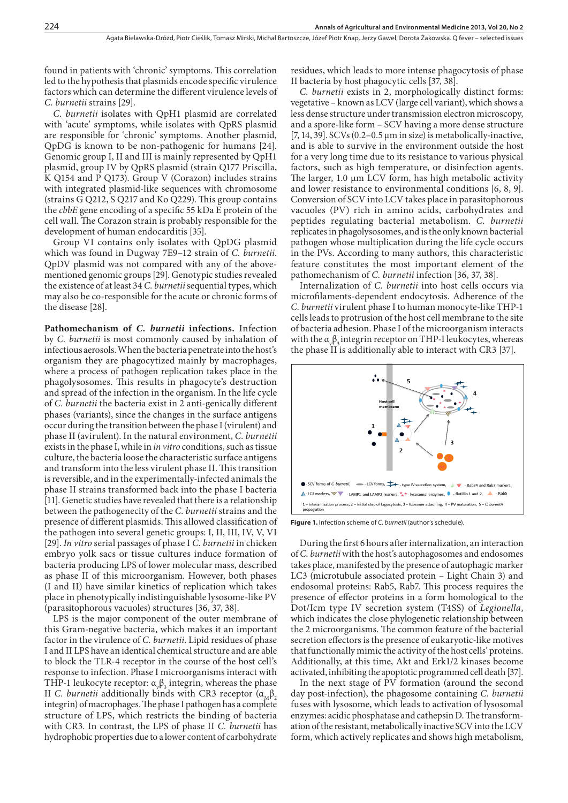found in patients with 'chronic' symptoms. This correlation led to the hypothesis that plasmids encode specific virulence factors which can determine the different virulence levels of *C. burnetii* strains [29].

*C. burnetii* isolates with QpH1 plasmid are correlated with 'acute' symptoms, while isolates with QpRS plasmid are responsible for 'chronic' symptoms. Another plasmid, QpDG is known to be non-pathogenic for humans [24]. Genomic group I, II and III is mainly represented by QpH1 plasmid, group IV by QpRS plasmid (strain Q177 Priscilla, K Q154 and P Q173). Group V (Corazon) includes strains with integrated plasmid-like sequences with chromosome (strains G Q212, S Q217 and Ko Q229). This group contains the *cbbE* gene encoding of a specific 55 kDa E protein of the cell wall. The Corazon strain is probably responsible for the development of human endocarditis [35].

Group VI contains only isolates with QpDG plasmid which was found in Dugway 7E9–12 strain of *C. burnetii*. QpDV plasmid was not compared with any of the abovementioned genomic groups [29]. Genotypic studies revealed the existence of at least 34 *C. burnetii* sequential types, which may also be co-responsible for the acute or chronic forms of the disease [28].

**Pathomechanism of** *C. burnetii* **infections.** Infection by *C. burnetii* is most commonly caused by inhalation of infectious aerosols. When the bacteria penetrate into the host's organism they are phagocytized mainly by macrophages, where a process of pathogen replication takes place in the phagolysosomes. This results in phagocyte's destruction and spread of the infection in the organism. In the life cycle of *C. burnetii* the bacteria exist in 2 anti-genically different phases (variants), since the changes in the surface antigens occur during the transition between the phase I (virulent) and phase II (avirulent). In the natural environment, *C. burnetii* exists in the phase I, while in *in vitro* conditions, such as tissue culture, the bacteria loose the characteristic surface antigens and transform into the less virulent phase II. This transition is reversible, and in the experimentally-infected animals the phase II strains transformed back into the phase I bacteria [11]. Genetic studies have revealed that there is a relationship between the pathogenecity of the *C. burnetii* strains and the presence of different plasmids. This allowed classification of the pathogen into several genetic groups: I, II, III, IV, V, VI [29]. *In vitro* serial passages of phase I *C. burnetii* in chicken embryo yolk sacs or tissue cultures induce formation of bacteria producing LPS of lower molecular mass, described as phase II of this microorganism. However, both phases (I and II) have similar kinetics of replication which takes place in phenotypically indistinguishable lysosome-like PV (parasitophorous vacuoles) structures [36, 37, 38].

LPS is the major component of the outer membrane of this Gram-negative bacteria, which makes it an important factor in the virulence of *C. burnetii*. Lipid residues of phase I and II LPS have an identical chemical structure and are able to block the TLR-4 receptor in the course of the host cell's response to infection. Phase I microorganisms interact with THP-1 leukocyte receptor:  $\alpha_{\nu} \beta_3$  integrin, whereas the phase II *C. burnetii* additionally binds with CR3 receptor  $(α<sub>M</sub>β<sub>2</sub>)$ integrin) of macrophages. The phase I pathogen has a complete structure of LPS, which restricts the binding of bacteria with CR3. In contrast, the LPS of phase II *C. burnetii* has hydrophobic properties due to a lower content of carbohydrate

residues, which leads to more intense phagocytosis of phase II bacteria by host phagocytic cells [37, 38].

*C. burnetii* exists in 2, morphologically distinct forms: vegetative – known as LCV (large cell variant), which shows a less dense structure under transmission electron microscopy, and a spore-like form – SCV having a more dense structure  $[7, 14, 39]$ . SCVs  $(0.2-0.5 \mu m)$  in size) is metabolically-inactive, and is able to survive in the environment outside the host for a very long time due to its resistance to various physical factors, such as high temperature, or disinfection agents. The larger, 1.0  $\mu$ m LCV form, has high metabolic activity and lower resistance to environmental conditions [6, 8, 9]. Conversion of SCV into LCV takes place in parasitophorous vacuoles (PV) rich in amino acids, carbohydrates and peptides regulating bacterial metabolism. *C. burnetii* replicates in phagolysosomes, and is the only known bacterial pathogen whose multiplication during the life cycle occurs in the PVs. According to many authors, this characteristic feature constitutes the most important element of the pathomechanism of *C. burnetii* infection [36, 37, 38].

Internalization of *C. burnetii* into host cells occurs via microfilaments-dependent endocytosis. Adherence of the *C. burnetii* virulent phase I to human monocyte-like THP-1 cells leads to protrusion of the host cell membrane to the site of bacteria adhesion. Phase I of the microorganism interacts with the  $\alpha_{\nu} \beta_3$  integrin receptor on THP-I leukocytes, whereas the phase II is additionally able to interact with CR3 [37].



**Figure 1.** Infection scheme of *C. burnetii* (author's schedule).

During the first 6 hours after internalization, an interaction of *C. burnetii* with the host's autophagosomes and endosomes takes place, manifested by the presence of autophagic marker LC3 (microtubule associated protein – Light Chain 3) and endosomal proteins: Rab5, Rab7. This process requires the presence of effector proteins in a form homological to the Dot/Icm type IV secretion system (T4SS) of *Legionella*, which indicates the close phylogenetic relationship between the 2 microorganisms. The common feature of the bacterial secretion effectors is the presence of eukaryotic-like motives that functionally mimic the activity of the host cells' proteins. Additionally, at this time, Akt and Erk1/2 kinases become activated, inhibiting the apoptotic programmed cell death [37].

In the next stage of PV formation (around the second day post-infection), the phagosome containing *C. burnetii* fuses with lysosome, which leads to activation of lysosomal enzymes: acidic phosphatase and cathepsin D. The transformation of the resistant, metabolically inactive SCV into the LCV form, which actively replicates and shows high metabolism,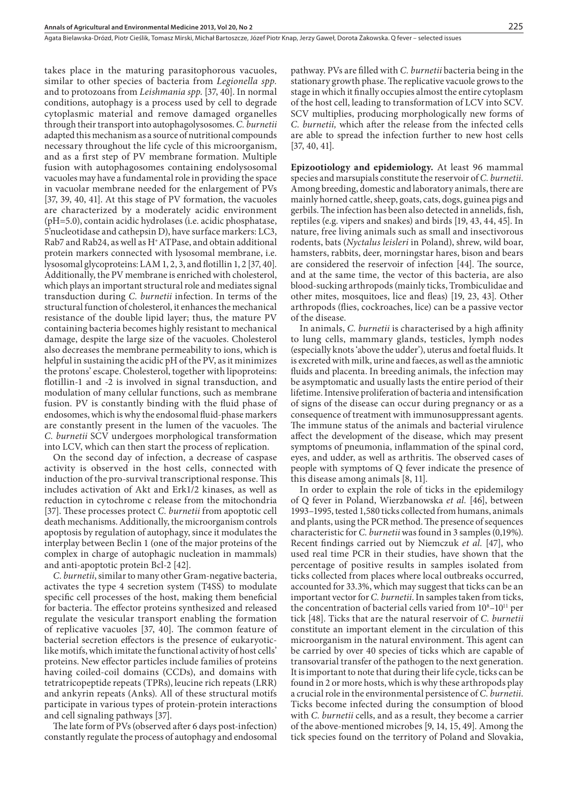takes place in the maturing parasitophorous vacuoles, similar to other species of bacteria from *Legionella spp.* and to protozoans from *Leishmania spp*. [37, 40]. In normal conditions, autophagy is a process used by cell to degrade cytoplasmic material and remove damaged organelles through their transport into autophagolysosomes. *C. burnetii*  adapted this mechanism as a source of nutritional compounds necessary throughout the life cycle of this microorganism, and as a first step of PV membrane formation. Multiple fusion with autophagosomes containing endolysosomal vacuoles may have a fundamental role in providing the space in vacuolar membrane needed for the enlargement of PVs [37, 39, 40, 41]. At this stage of PV formation, the vacuoles are characterized by a moderately acidic environment (pH=5.0), contain acidic hydrolases (i.e. acidic phosphatase, 5'nucleotidase and cathepsin D), have surface markers: LC3, Rab7 and Rab24, as well as H+ ATPase, and obtain additional protein markers connected with lysosomal membrane, i.e. lysosomal glycoproteins: LAM 1, 2, 3, and flotillin 1, 2 [37, 40]. Additionally, the PV membrane is enriched with cholesterol, which plays an important structural role and mediates signal transduction during *C. burnetii* infection. In terms of the structural function of cholesterol, it enhances the mechanical resistance of the double lipid layer; thus, the mature PV containing bacteria becomes highly resistant to mechanical damage, despite the large size of the vacuoles. Cholesterol also decreases the membrane permeability to ions, which is helpful in sustaining the acidic pH of the PV, as it minimizes the protons' escape. Cholesterol, together with lipoproteins: flotillin-1 and -2 is involved in signal transduction, and modulation of many cellular functions, such as membrane fusion. PV is constantly binding with the fluid phase of endosomes, which is why the endosomal fluid-phase markers are constantly present in the lumen of the vacuoles. The *C. burnetii* SCV undergoes morphological transformation into LCV, which can then start the process of replication.

On the second day of infection, a decrease of caspase activity is observed in the host cells, connected with induction of the pro-survival transcriptional response. This includes activation of Akt and Erk1/2 kinases, as well as reduction in cytochrome c release from the mitochondria [37]. These processes protect *C. burnetii* from apoptotic cell death mechanisms. Additionally, the microorganism controls apoptosis by regulation of autophagy, since it modulates the interplay between Beclin 1 (one of the major proteins of the complex in charge of autophagic nucleation in mammals) and anti-apoptotic protein Bcl-2 [42].

*C. burnetii*, similar to many other Gram-negative bacteria, activates the type 4 secretion system (T4SS) to modulate specific cell processes of the host, making them beneficial for bacteria. The effector proteins synthesized and released regulate the vesicular transport enabling the formation of replicative vacuoles [37, 40]. The common feature of bacterial secretion effectors is the presence of eukaryoticlike motifs, which imitate the functional activity of host cells' proteins. New effector particles include families of proteins having coiled-coil domains (CCDs), and domains with tetratricopeptide repeats (TPRs), leucine rich repeats (LRR) and ankyrin repeats (Anks). All of these structural motifs participate in various types of protein-protein interactions and cell signaling pathways [37].

The late form of PVs (observed after 6 days post-infection) constantly regulate the process of autophagy and endosomal pathway. PVs are filled with *C. burnetii* bacteria being in the stationary growth phase. The replicative vacuole grows to the stage in which it finally occupies almost the entire cytoplasm of the host cell, leading to transformation of LCV into SCV. SCV multiplies, producing morphologically new forms of *C. burnetii,* which after the release from the infected cells are able to spread the infection further to new host cells [37, 40, 41].

**Epizootiology and epidemiology.** At least 96 mammal species and marsupials constitute the reservoir of *C. burnetii*. Among breeding, domestic and laboratory animals, there are mainly horned cattle, sheep, goats, cats, dogs, guinea pigs and gerbils. The infection has been also detected in annelids, fish, reptiles (e.g. vipers and snakes) and birds [19, 43, 44, 45]. In nature, free living animals such as small and insectivorous rodents, bats (*Nyctalus leisleri* in Poland), shrew, wild boar, hamsters, rabbits, deer, morningstar hares, bison and bears are considered the reservoir of infection [44]. The source, and at the same time, the vector of this bacteria, are also blood-sucking arthropods (mainly ticks, Trombiculidae and other mites, mosquitoes, lice and fleas) [19, 23, 43]. Other arthropods (flies, cockroaches, lice) can be a passive vector of the disease.

In animals, *C. burnetii* is characterised by a high affinity to lung cells, mammary glands, testicles, lymph nodes (especially knots 'above the udder'), uterus and foetal fluids. It is excreted with milk, urine and faeces, as well as the amniotic fluids and placenta. In breeding animals, the infection may be asymptomatic and usually lasts the entire period of their lifetime. Intensive proliferation of bacteria and intensification of signs of the disease can occur during pregnancy or as a consequence of treatment with immunosuppressant agents. The immune status of the animals and bacterial virulence affect the development of the disease, which may present symptoms of pneumonia, inflammation of the spinal cord, eyes, and udder, as well as arthritis. The observed cases of people with symptoms of Q fever indicate the presence of this disease among animals [8, 11].

In order to explain the role of ticks in the epidemilogy of Q fever in Poland, Wierzbanowska *et al.* [46], between 1993–1995, tested 1,580 ticks collected from humans, animals and plants, using the PCR method. The presence of sequences characteristic for *C. burnetii* was found in 3 samples (0,19%). Recent findings carried out by Niemczuk *et al.* [47], who used real time PCR in their studies, have shown that the percentage of positive results in samples isolated from ticks collected from places where local outbreaks occurred, accounted for 33.3%, which may suggest that ticks can be an important vector for *C. burnetii*. In samples taken from ticks, the concentration of bacterial cells varied from  $10<sup>8</sup>-10<sup>11</sup>$  per tick [48]. Ticks that are the natural reservoir of *C. burnetii* constitute an important element in the circulation of this microorganism in the natural environment. This agent can be carried by over 40 species of ticks which are capable of transovarial transfer of the pathogen to the next generation. It is important to note that during their life cycle, ticks can be found in 2 or more hosts, which is why these arthropods play a crucial role in the environmental persistence of *C. burnetii*. Ticks become infected during the consumption of blood with *C. burnetii* cells, and as a result, they become a carrier of the above-mentioned microbes [9, 14, 15, 49]. Among the tick species found on the territory of Poland and Slovakia,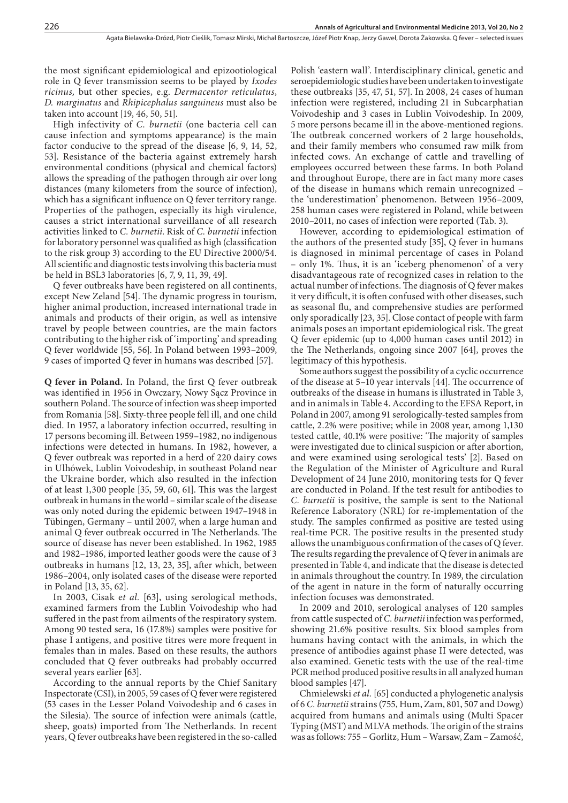the most significant epidemiological and epizootiological role in Q fever transmission seems to be played by *Ixodes ricinus,* but other species, e.g. *Dermacentor reticulatus*, *D. marginatus* and *Rhipicephalus sanguineus* must also be taken into account [19, 46, 50, 51].

High infectivity of *C. burnetii* (one bacteria cell can cause infection and symptoms appearance) is the main factor conducive to the spread of the disease [6, 9, 14, 52, 53]. Resistance of the bacteria against extremely harsh environmental conditions (physical and chemical factors) allows the spreading of the pathogen through air over long distances (many kilometers from the source of infection), which has a significant influence on Q fever territory range. Properties of the pathogen, especially its high virulence, causes a strict international surveillance of all research activities linked to *C. burnetii*. Risk of *C. burnetii* infection for laboratory personnel was qualified as high (classification to the risk group 3) according to the EU Directive 2000/54. All scientific and diagnostic tests involving this bacteria must be held in BSL3 laboratories [6, 7, 9, 11, 39, 49].

Q fever outbreaks have been registered on all continents, except New Zeland [54]. The dynamic progress in tourism, higher animal production, increased international trade in animals and products of their origin, as well as intensive travel by people between countries, are the main factors contributing to the higher risk of 'importing' and spreading Q fever worldwide [55, 56]. In Poland between 1993–2009, 9 cases of imported Q fever in humans was described [57].

**Q fever in Poland.** In Poland, the first Q fever outbreak was identified in 1956 in Owczary, Nowy Sącz Province in southern Poland. The source of infection was sheep imported from Romania [58]. Sixty-three people fell ill, and one child died. In 1957, a laboratory infection occurred, resulting in 17 persons becoming ill. Between 1959–1982, no indigenous infections were detected in humans. In 1982, however, a Q fever outbreak was reported in a herd of 220 dairy cows in Ulhówek, Lublin Voivodeship, in southeast Poland near the Ukraine border, which also resulted in the infection of at least 1,300 people [35, 59, 60, 61]. This was the largest outbreak in humans in the world – similar scale of the disease was only noted during the epidemic between 1947–1948 in Tübingen, Germany – until 2007, when a large human and animal Q fever outbreak occurred in The Netherlands. The source of disease has never been established. In 1962, 1985 and 1982–1986, imported leather goods were the cause of 3 outbreaks in humans [12, 13, 23, 35], after which, between 1986–2004, only isolated cases of the disease were reported in Poland [13, 35, 62].

In 2003, Cisak e*t al.* [63], using serological methods, examined farmers from the Lublin Voivodeship who had suffered in the past from ailments of the respiratory system. Among 90 tested sera, 16 (17.8%) samples were positive for phase I antigens, and positive titres were more frequent in females than in males. Based on these results, the authors concluded that Q fever outbreaks had probably occurred several years earlier [63].

According to the annual reports by the Chief Sanitary Inspectorate (CSI), in 2005, 59 cases of Q fever were registered (53 cases in the Lesser Poland Voivodeship and 6 cases in the Silesia). The source of infection were animals (cattle, sheep, goats) imported from The Netherlands. In recent years, Q fever outbreaks have been registered in the so-called

Polish 'eastern wall'. Interdisciplinary clinical, genetic and seroepidemiologic studies have been undertaken to investigate these outbreaks [35, 47, 51, 57]. In 2008, 24 cases of human infection were registered, including 21 in Subcarphatian Voivodeship and 3 cases in Lublin Voivodeship. In 2009, 5 more persons became ill in the above-mentioned regions. The outbreak concerned workers of 2 large households, and their family members who consumed raw milk from infected cows. An exchange of cattle and travelling of employees occurred between these farms. In both Poland and throughout Europe, there are in fact many more cases of the disease in humans which remain unrecognized – the 'underestimation' phenomenon. Between 1956–2009, 258 human cases were registered in Poland, while between 2010–2011, no cases of infection were reported (Tab. 3).

However, according to epidemiological estimation of the authors of the presented study [35], Q fever in humans is diagnosed in minimal percentage of cases in Poland – only 1%. Thus, it is an 'iceberg phenomenon' of a very disadvantageous rate of recognized cases in relation to the actual number of infections. The diagnosis of Q fever makes it very difficult, it is often confused with other diseases, such as seasonal flu, and comprehensive studies are performed only sporadically [23, 35]. Close contact of people with farm animals poses an important epidemiological risk. The great Q fever epidemic (up to 4,000 human cases until 2012) in the The Netherlands, ongoing since 2007 [64], proves the legitimacy of this hypothesis.

Some authors suggest the possibility of a cyclic occurrence of the disease at 5–10 year intervals [44]. The occurrence of outbreaks of the disease in humans is illustrated in Table 3, and in animals in Table 4. According to the EFSA Report, in Poland in 2007, among 91 serologically-tested samples from cattle, 2.2% were positive; while in 2008 year, among 1,130 tested cattle, 40.1% were positive: 'The majority of samples were investigated due to clinical suspicion or after abortion, and were examined using serological tests' [2]. Based on the Regulation of the Minister of Agriculture and Rural Development of 24 June 2010, monitoring tests for Q fever are conducted in Poland. If the test result for antibodies to *C. burnetii* is positive, the sample is sent to the National Reference Laboratory (NRL) for re-implementation of the study. The samples confirmed as positive are tested using real-time PCR. The positive results in the presented study allows the unambiguous confirmation of the cases of Q fever. The results regarding the prevalence of Q fever in animals are presented in Table 4, and indicate that the disease is detected in animals throughout the country. In 1989, the circulation of the agent in nature in the form of naturally occurring infection focuses was demonstrated.

In 2009 and 2010, serological analyses of 120 samples from cattle suspected of *C. burnetii* infection was performed, showing 21.6% positive results. Six blood samples from humans having contact with the animals, in which the presence of antibodies against phase II were detected, was also examined. Genetic tests with the use of the real-time PCR method produced positive results in all analyzed human blood samples [47].

Chmielewski *et al.* [65] conducted a phylogenetic analysis of 6 *C. burnetii* strains (755, Hum, Zam, 801, 507 and Dowg) acquired from humans and animals using (Multi Spacer Typing (MST) and MLVA methods. The origin of the strains was as follows: 755 – Gorlitz, Hum – Warsaw, Zam – Zamość,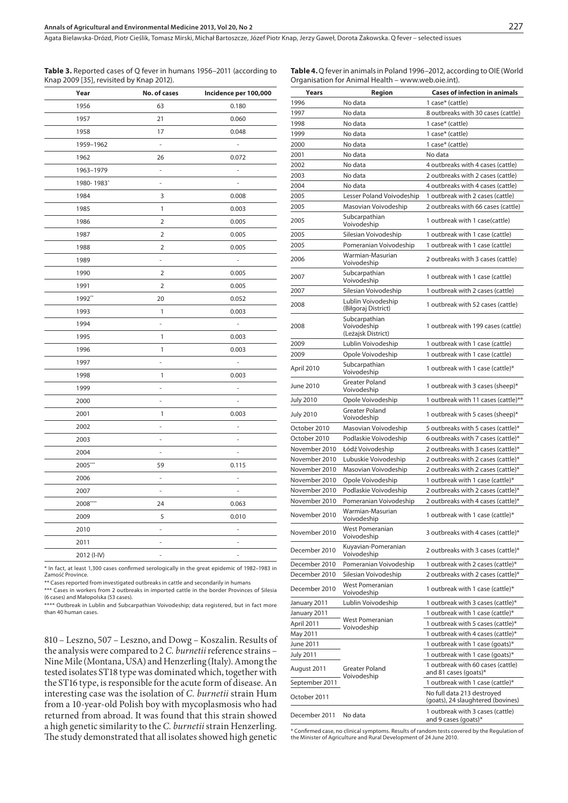Agata Bielawska-Drózd, Piotr Cieślik, Tomasz Mirski, Michał Bartoszcze, Józef Piotr Knap, Jerzy Gaweł, Dorota Żakowska . Q fever – selected issues

**Table 3.** Reported cases of Q fever in humans 1956–2011 (according to Knap 2009 [35], revisited by Knap 2012).

**Table 4.** Q fever in animals in Poland 1996–2012, according to OIE (World Organisation for Animal Health – www.web.oie.int).

| Year        | No. of cases             | Incidence per 100,000    |
|-------------|--------------------------|--------------------------|
| 1956        | 63                       | 0.180                    |
| 1957        | 21                       | 0.060                    |
| 1958        | 17                       | 0.048                    |
| 1959-1962   | ÷,                       | $\blacksquare$           |
| 1962        | 26                       | 0.072                    |
| 1963-1979   | L,                       | $\overline{\phantom{a}}$ |
| 1980-1983*  | $\bar{\phantom{a}}$      |                          |
| 1984        | 3                        | 0.008                    |
| 1985        | 1                        | 0.003                    |
| 1986        | $\overline{2}$           | 0.005                    |
| 1987        | $\overline{2}$           | 0.005                    |
| 1988        | 2                        | 0.005                    |
| 1989        | ÷,                       | ä,                       |
| 1990        | $\overline{2}$           | 0.005                    |
| 1991        | 2                        | 0.005                    |
| 1992**      | 20                       | 0.052                    |
| 1993        | 1                        | 0.003                    |
| 1994        | $\overline{\phantom{m}}$ | $\overline{\phantom{a}}$ |
| 1995        | 1                        | 0.003                    |
| 1996        | 1                        | 0.003                    |
| 1997        | ÷                        | $\overline{\phantom{a}}$ |
| 1998        | 1                        | 0.003                    |
| 1999        | ÷                        | ÷,                       |
| 2000        | $\overline{\phantom{a}}$ | $\overline{\phantom{a}}$ |
| 2001        | $\mathbf{1}$             | 0.003                    |
| 2002        | L,                       | $\overline{\phantom{a}}$ |
| 2003        | $\overline{\phantom{m}}$ | $\overline{\phantom{a}}$ |
| 2004        | $\overline{\phantom{a}}$ | $\overline{\phantom{a}}$ |
| 2005***     | 59                       | 0.115                    |
| 2006        | $\overline{\phantom{a}}$ | $\overline{\phantom{a}}$ |
| 2007        | $\overline{\phantom{a}}$ | $\overline{\phantom{a}}$ |
| 2008****    | 24                       | 0.063                    |
| 2009        | 5                        | 0.010                    |
| 2010        | ÷                        | $\overline{\phantom{a}}$ |
| 2011        | $\overline{\phantom{a}}$ | $\overline{\phantom{a}}$ |
| 2012 (I-IV) | ä,                       | ä,                       |

\* In fact, at least 1,300 cases confirmed serologically in the great epidemic of 1982–1983 in Zamość Province.

\*\* Cases reported from investigated outbreaks in cattle and secondarily in humans

\*\*\* Cases in workers from 2 outbreaks in imported cattle in the border Provinces of Silesia (6 cases) and Małopolska (53 cases).

\*\*\*\* Outbreak in Lublin and Subcarpathian Voivodeship; data registered, but in fact more than 40 human cases.

810 – Leszno, 507 – Leszno, and Dowg – Koszalin. Results of the analysis were compared to 2 *C. burnetii* reference strains – Nine Mile (Montana, USA) and Henzerling (Italy). Among the tested isolates ST18 type was dominated which, together with the ST16 type, is responsible for the acute form of disease. An interesting case was the isolation of *C. burnetii* strain Hum from a 10-year-old Polish boy with mycoplasmosis who had returned from abroad. It was found that this strain showed a high genetic similarity to the *C. burnetii* strain Henzerling. The study demonstrated that all isolates showed high genetic

| Years            | Region                                             | Cases of infection in animals                                   |
|------------------|----------------------------------------------------|-----------------------------------------------------------------|
| 1996             | No data                                            | 1 case* (cattle)                                                |
| 1997             | No data                                            | 8 outbreaks with 30 cases (cattle)                              |
| 1998             | No data                                            | 1 case* (cattle)                                                |
| 1999             | No data                                            | 1 case* (cattle)                                                |
| 2000             | No data                                            | 1 case* (cattle)                                                |
|                  |                                                    |                                                                 |
| 2001             | No data                                            | No data                                                         |
| 2002             | No data                                            | 4 outbreaks with 4 cases (cattle)                               |
| 2003             | No data                                            | 2 outbreaks with 2 cases (cattle)                               |
| 2004             | No data                                            | 4 outbreaks with 4 cases (cattle)                               |
| 2005             | Lesser Poland Voivodeship                          | 1 outbreak with 2 cases (cattle)                                |
| 2005             | Masovian Voivodeship                               | 2 outbreaks with 66 cases (cattle)                              |
| 2005             | Subcarpathian<br>Voivodeship                       | 1 outbreak with 1 case(cattle)                                  |
| 2005             | Silesian Voivodeship                               | 1 outbreak with 1 case (cattle)                                 |
| 2005             | Pomeranian Voivodeship                             | 1 outbreak with 1 case (cattle)                                 |
| 2006             | Warmian-Masurian<br>Voivodeship                    | 2 outbreaks with 3 cases (cattle)                               |
| 2007             | Subcarpathian<br>Voivodeship                       | 1 outbreak with 1 case (cattle)                                 |
| 2007             | Silesian Voivodeship                               | 1 outbreak with 2 cases (cattle)                                |
|                  | Lublin Voivodeship                                 |                                                                 |
| 2008             | (Biłgoraj District)                                | 1 outbreak with 52 cases (cattle)                               |
| 2008             | Subcarpathian<br>Voivodeship<br>(Leżajsk District) | 1 outbreak with 199 cases (cattle)                              |
| 2009             | Lublin Voivodeship                                 | 1 outbreak with 1 case (cattle)                                 |
| 2009             | Opole Voivodeship                                  | 1 outbreak with 1 case (cattle)                                 |
| April 2010       | Subcarpathian<br>Voivodeship                       | 1 outbreak with 1 case (cattle)*                                |
| June 2010        | <b>Greater Poland</b><br>Voivodeship               | 1 outbreak with 3 cases (sheep)*                                |
| July 2010        | Opole Voivodeship                                  | 1 outbreak with 11 cases (cattle)**                             |
| <b>July 2010</b> | <b>Greater Poland</b><br>Voivodeship               | 1 outbreak with 5 cases (sheep)*                                |
| October 2010     | Masovian Voivodeship                               | 5 outbreaks with 5 cases (cattle)*                              |
| October 2010     | Podlaskie Voivodeship                              | 6 outbreaks with 7 cases (cattle)*                              |
| November 2010    | Łódź Voivodeship                                   | 2 outbreaks with 3 cases (cattle)*                              |
| November 2010    | Lubuskie Voivodeship                               | 2 outbreaks with 2 cases (cattle)*                              |
| November 2010    | Masovian Voivodeship                               | 2 outbreaks with 2 cases (cattle)*                              |
| November 2010    | Opole Voivodeship                                  | 1 outbreak with 1 case (cattle)*                                |
| November 2010    | Podlaskie Voivodeship                              | 2 outbreaks with 2 cases (cattle)*                              |
| November 2010    | Pomeranian Voivodeship                             | 2 outbreaks with 4 cases (cattle)*                              |
|                  | Warmian-Masurian                                   |                                                                 |
| November 2010    | Voivodeship                                        | 1 outbreak with 1 case (cattle)*                                |
| November 2010    | <b>West Pomeranian</b><br>Voivodeship              | 3 outbreaks with 4 cases (cattle)*                              |
| December 2010    | Kuyavian-Pomeranian<br>Voivodeship                 | 2 outbreaks with 3 cases (cattle)*                              |
| December 2010    | Pomeranian Voivodeship                             | 1 outbreak with 2 cases (cattle)*                               |
| December 2010    | Silesian Voivodeship                               | 2 outbreaks with 2 cases (cattle)*                              |
| December 2010    | West Pomeranian<br>Voivodeship                     | 1 outbreak with 1 case (cattle)*                                |
| January 2011     | Lublin Voivodeship                                 | 1 outbreak with 3 cases (cattle)*                               |
| January 2011     |                                                    | 1 outbreak with 1 case (cattle)*                                |
| April 2011       | West Pomeranian<br>Voivodeship                     | 1 outbreak with 5 cases (cattle)*                               |
| May 2011         |                                                    | 1 outbreak with 4 cases (cattle)*                               |
| June 2011        |                                                    | 1 outbreak with 1 case (goats)*                                 |
| <b>July 2011</b> |                                                    | 1 outbreak with 1 case (goats)*                                 |
| August 2011      | Greater Poland                                     | 1 outbreak with 60 cases (cattle)<br>and 81 cases (goats)*      |
| September 2011   | Voivodeship                                        | 1 outbreak with 1 case (cattle)*                                |
| October 2011     |                                                    | No full data 213 destroyed<br>(goats), 24 slaughtered (bovines) |
|                  |                                                    | 1 outbreak with 3 cases (cattle)                                |
| December 2011    | No data                                            | and 9 cases (goats)*                                            |

\* Confirmed case, no clinical symptoms. Results of random tests covered by the Regulation of the Minister of Agriculture and Rural Development of 24 June 2010.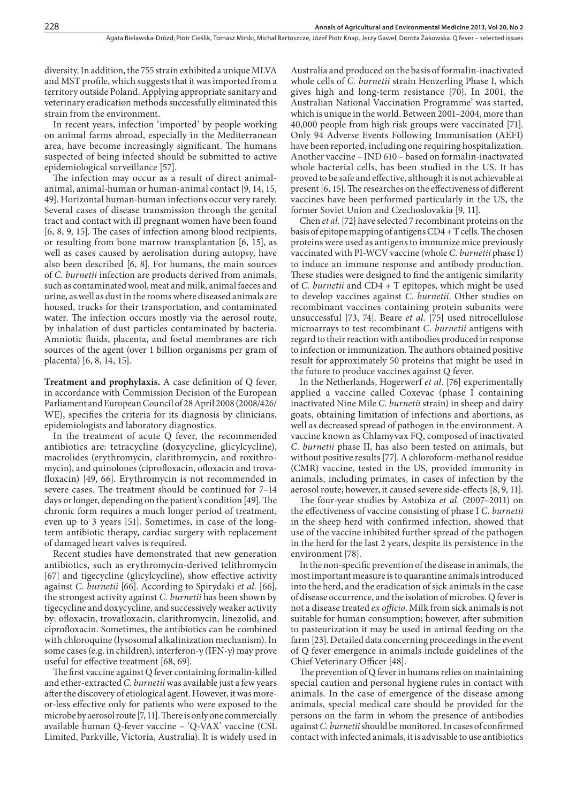diversity. In addition, the 755 strain exhibited a unique MLVA and MST profile, which suggests that it was imported from a territory outside Poland. Applying appropriate sanitary and veterinary eradication methods successfully eliminated this strain from the environment.

In recent years, infection 'imported' by people working on animal farms abroad, especially in the Mediterranean area, have become increasingly significant. The humans suspected of being infected should be submitted to active epidemiological surveillance [57].

The infection may occur as a result of direct animalanimal, animal-human or human-animal contact [9, 14, 15, 49]. Horizontal human-human infections occur very rarely. Several cases of disease transmission through the genital tract and contact with ill pregnant women have been found [6, 8, 9, 15]. The cases of infection among blood recipients, or resulting from bone marrow transplantation [6, 15], as well as cases caused by aerolisation during autopsy, have also been described [6, 8]. For humans, the main sources of *C. burnetii* infection are products derived from animals, such as contaminated wool, meat and milk, animal faeces and urine, as well as dust in the rooms where diseased animals are housed, trucks for their transportation, and contaminated water. The infection occurs mostly via the aerosol route, by inhalation of dust particles contaminated by bacteria. Amniotic fluids, placenta, and foetal membranes are rich sources of the agent (over 1 billion organisms per gram of placenta) [6, 8, 14, 15].

**Treatment and prophylaxis.** A case definition of Q fever, in accordance with Commission Decision of the European Parliament and European Council of 28 April 2008 (2008/426/ WE), specifies the criteria for its diagnosis by clinicians, epidemiologists and laboratory diagnostics.

In the treatment of acute Q fever, the recommended antibiotics are: tetracycline (doxycycline, glicylcycline), macrolides (erythromycin, clarithromycin, and roxithromycin), and quinolones (ciprofloxacin, ofloxacin and trovafloxacin) [49, 66]. Erythromycin is not recommended in severe cases. The treatment should be continued for 7–14 days or longer, depending on the patient's condition [49]. The chronic form requires a much longer period of treatment, even up to 3 years [51]. Sometimes, in case of the longterm antibiotic therapy, cardiac surgery with replacement of damaged heart valves is required.

Recent studies have demonstrated that new generation antibiotics, such as erythromycin-derived telithromycin [67] and tigecycline (glicylcycline), show effective activity against *C. burnetii* [66]. According to Spirydaki *et al.* [66], the strongest activity against *C. burnetii* has been shown by tigecycline and doxycycline, and successively weaker activity by: ofloxacin, trovafloxacin, clarithromycin, linezolid, and ciprofloxacin. Sometimes, the antibiotics can be combined with chloroquine (lysosomal alkalinization mechanism). In some cases (e.g. in children), interferon-γ (IFN-γ) may prove useful for effective treatment [68, 69].

The first vaccine against Q fever containing formalin-killed and ether-extracted *C. burnetii* was available just a few years after the discovery of etiological agent. However, it was moreor-less effective only for patients who were exposed to the microbe by aerosol route [7, 11]. There is only one commercially available human Q-fever vaccine – 'Q-VAX' vaccine (CSL Limited, Parkville, Victoria, Australia). It is widely used in

Australia and produced on the basis of formalin-inactivated whole cells of *C. burnetii* strain Henzerling Phase I, which gives high and long-term resistance [70]. In 2001, the Australian National Vaccination Programme' was started, which is unique in the world. Between 2001–2004, more than 40,000 people from high risk groups were vaccinated [71]. Only 94 Adverse Events Following Immunisation (AEFI) have been reported, including one requiring hospitalization. Another vaccine – IND 610 – based on formalin-inactivated whole bacterial cells, has been studied in the US. It has proved to be safe and effective, although it is not achievable at present [6, 15]. The researches on the effectiveness of different vaccines have been performed particularly in the US, the former Soviet Union and Czechoslovakia [9, 11].

Chen *et al.* [72] have selected 7 recombinant proteins on the basis of epitope mapping of antigens CD4 + T cells. The chosen proteins were used as antigens to immunize mice previously vaccinated with PI-WCV vaccine (whole *C. burnetii* phase I) to induce an immune response and antibody production. These studies were designed to find the antigenic similarity of *C. burnetii* and CD4 + T epitopes, which might be used to develop vaccines against *C. burnetii*. Other studies on recombinant vaccines containing protein subunits were unsuccessful [73, 74]. Beare *et al.* [75] used nitrocellulose microarrays to test recombinant *C. burnetii* antigens with regard to their reaction with antibodies produced in response to infection or immunization. The authors obtained positive result for approximately 50 proteins that might be used in the future to produce vaccines against Q fever.

In the Netherlands, Hogerwerf *et al.* [76] experimentally applied a vaccine called Coxevac (phase I containing inactivated Nine Mile *C. burnetii* strain) in sheep and dairy goats, obtaining limitation of infections and abortions, as well as decreased spread of pathogen in the environment. A vaccine known as Chlamyvax FQ, composed of inactivated *C. burnetii* phase II, has also been tested on animals, but without positive results [77]. A chloroform-methanol residue (CMR) vaccine, tested in the US, provided immunity in animals, including primates, in cases of infection by the aerosol route; however, it caused severe side-effects [8, 9, 11].

The four-year studies by Astobiza *et al.* (2007–2011) on the effectiveness of vaccine consisting of phase I *C. burnetii* in the sheep herd with confirmed infection, showed that use of the vaccine inhibited further spread of the pathogen in the herd for the last 2 years, despite its persistence in the environment [78].

In the non-specific prevention of the disease in animals, the most important measure is to quarantine animals introduced into the herd, and the eradication of sick animals in the case of disease occurrence, and the isolation of microbes. Q fever is not a disease treated *ex officio*. Milk from sick animals is not suitable for human consumption; however, after submition to pasteurization it may be used in animal feeding on the farm [23]. Detailed data concerning proceedings in the event of Q fever emergence in animals include guidelines of the Chief Veterinary Officer [48].

The prevention of Q fever in humans relies on maintaining special caution and personal hygiene rules in contact with animals. In the case of emergence of the disease among animals, special medical care should be provided for the persons on the farm in whom the presence of antibodies against *C. burnetii* should be monitored. In cases of confirmed contact with infected animals, it is advisable to use antibiotics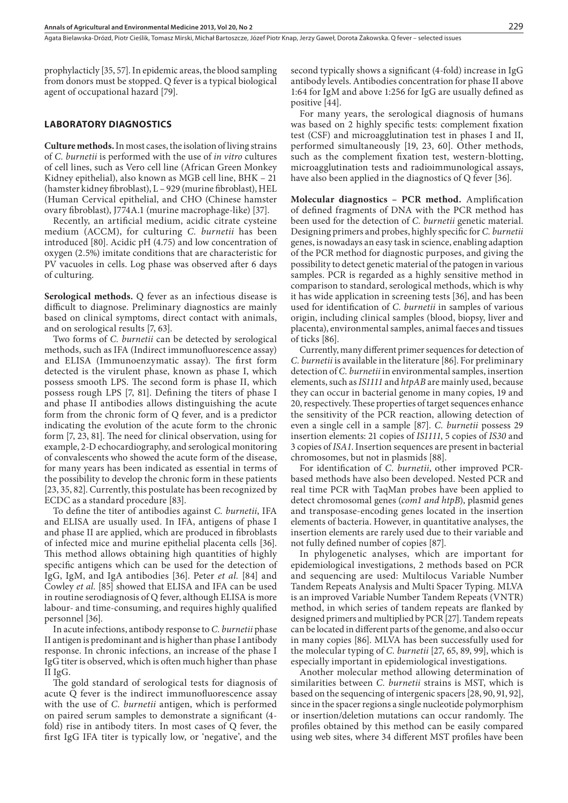prophylacticly [35, 57]. In epidemic areas, the blood sampling from donors must be stopped. Q fever is a typical biological agent of occupational hazard [79].

## **LABORATORY DIAGNOSTICS**

**Culture methods.** In most cases, the isolation of living strains of *C. burnetii* is performed with the use of *in vitro* cultures of cell lines, such as Vero cell line (African Green Monkey Kidney epithelial), also known as MGB cell line, BHK – 21 (hamster kidney fibroblast), L – 929 (murine fibroblast), HEL (Human Cervical epithelial, and CHO (Chinese hamster ovary fibroblast), J774A.1 (murine macrophage-like) [37].

Recently, an artificial medium, acidic citrate cysteine medium (ACCM), for culturing *C. burnetii* has been introduced [80]. Acidic pH (4.75) and low concentration of oxygen (2.5%) imitate conditions that are characteristic for PV vacuoles in cells. Log phase was observed after 6 days of culturing.

**Serological methods.** Q fever as an infectious disease is difficult to diagnose. Preliminary diagnostics are mainly based on clinical symptoms, direct contact with animals, and on serological results [7, 63].

Two forms of *C. burnetii* can be detected by serological methods, such as IFA (Indirect immunofluorescence assay) and ELISA (Immunoenzymatic assay). The first form detected is the virulent phase, known as phase I, which possess smooth LPS. The second form is phase II, which possess rough LPS [7, 81]. Defining the titers of phase I and phase II antibodies allows distinguishing the acute form from the chronic form of Q fever, and is a predictor indicating the evolution of the acute form to the chronic form [7, 23, 81]. The need for clinical observation, using for example, 2-D echocardiography, and serological monitoring of convalescents who showed the acute form of the disease, for many years has been indicated as essential in terms of the possibility to develop the chronic form in these patients [23, 35, 82]. Currently, this postulate has been recognized by ECDC as a standard procedure [83].

To define the titer of antibodies against *C. burnetii*, IFA and ELISA are usually used. In IFA, antigens of phase I and phase II are applied, which are produced in fibroblasts of infected mice and murine epithelial placenta cells [36]. This method allows obtaining high quantities of highly specific antigens which can be used for the detection of IgG, IgM, and IgA antibodies [36]. Peter *et al.* [84] and Cowley *et al.* [85] showed that ELISA and IFA can be used in routine serodiagnosis of Q fever, although ELISA is more labour- and time-consuming, and requires highly qualified personnel [36].

In acute infections, antibody response to *C. burnetii* phase II antigen is predominant and is higher than phase I antibody response. In chronic infections, an increase of the phase I IgG titer is observed, which is often much higher than phase II IgG.

The gold standard of serological tests for diagnosis of acute Q fever is the indirect immunofluorescence assay with the use of *C. burnetii* antigen, which is performed on paired serum samples to demonstrate a significant (4 fold) rise in antibody titers. In most cases of Q fever, the first IgG IFA titer is typically low, or 'negative', and the

second typically shows a significant (4-fold) increase in IgG antibody levels. Antibodies concentration for phase II above 1:64 for IgM and above 1:256 for IgG are usually defined as positive [44].

For many years, the serological diagnosis of humans was based on 2 highly specific tests: complement fixation test (CSF) and microagglutination test in phases I and II, performed simultaneously [19, 23, 60]. Other methods, such as the complement fixation test, western-blotting, microagglutination tests and radioimmunological assays, have also been applied in the diagnostics of Q fever [36].

**Molecular diagnostics – PCR method.** Amplification of defined fragments of DNA with the PCR method has been used for the detection of *C. burnetii* genetic material. Designing primers and probes, highly specific for *C. burnetii*  genes, is nowadays an easy task in science, enabling adaption of the PCR method for diagnostic purposes, and giving the possibility to detect genetic material of the patogen in various samples. PCR is regarded as a highly sensitive method in comparison to standard, serological methods, which is why it has wide application in screening tests [36], and has been used for identification of *C. burnetii* in samples of various origin, including clinical samples (blood, biopsy, liver and placenta), environmental samples, animal faeces and tissues of ticks [86].

Currently, many different primer sequences for detection of *C. burnetii* is available in the literature [86]. For preliminary detection of *C. burnetii* in environmental samples, insertion elements, such as *IS1111* and *htpAB* are mainly used, because they can occur in bacterial genome in many copies, 19 and 20, respectively. These properties of target sequences enhance the sensitivity of the PCR reaction, allowing detection of even a single cell in a sample [87]. *C. burnetii* possess 29 insertion elements: 21 copies of *IS1111*, 5 copies of *IS30* and 3 copies of *ISA1*. Insertion sequences are present in bacterial chromosomes, but not in plasmids [88].

For identification of *C. burnetii*, other improved PCRbased methods have also been developed. Nested PCR and real time PCR with TaqMan probes have been applied to detect chromosomal genes (*com1 and htpB*), plasmid genes and transposase-encoding genes located in the insertion elements of bacteria. However, in quantitative analyses, the insertion elements are rarely used due to their variable and not fully defined number of copies [87].

In phylogenetic analyses, which are important for epidemiological investigations, 2 methods based on PCR and sequencing are used: Multilocus Variable Number Tandem Repeats Analysis and Multi Spacer Typing. MLVA is an improved Variable Number Tandem Repeats (VNTR) method, in which series of tandem repeats are flanked by designed primers and multiplied by PCR [27]. Tandem repeats can be located in different parts of the genome, and also occur in many copies [86]. MLVA has been successfully used for the molecular typing of *C. burnetii* [27, 65, 89, 99], which is especially important in epidemiological investigations.

Another molecular method allowing determination of similarities between *C. burnetii* strains is MST, which is based on the sequencing of intergenic spacers [28, 90, 91, 92], since in the spacer regions a single nucleotide polymorphism or insertion/deletion mutations can occur randomly. The profiles obtained by this method can be easily compared using web sites, where 34 different MST profiles have been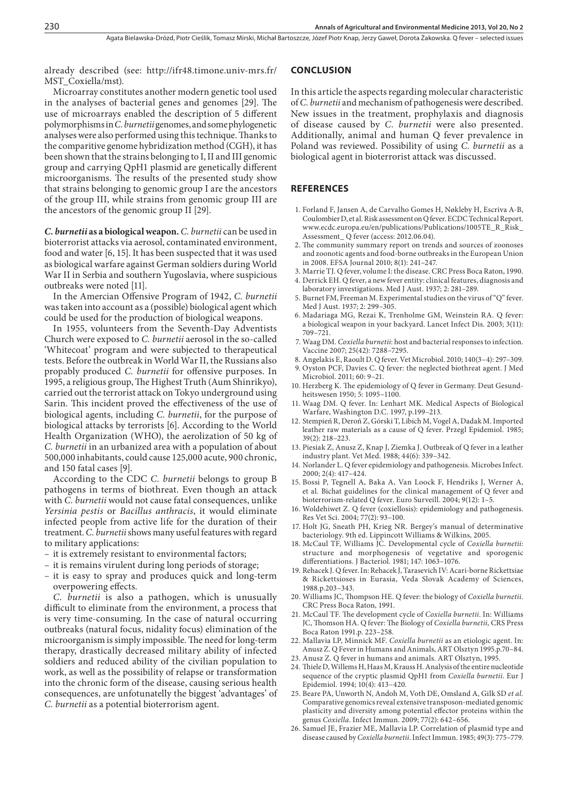already described (see: http://ifr48.timone.univ-mrs.fr/ MST\_Coxiella/mst).

Microarray constitutes another modern genetic tool used in the analyses of bacterial genes and genomes [29]. The use of microarrays enabled the description of 5 different polymorphisms in *C. burnetii* genomes, and some phylogenetic analyses were also performed using this technique. Thanks to the comparitive genome hybridization method (CGH), it has been shown that the strains belonging to I, II and III genomic group and carrying QpH1 plasmid are genetically different microorganisms. The results of the presented study show that strains belonging to genomic group I are the ancestors of the group III, while strains from genomic group III are the ancestors of the genomic group II [29].

*C. burnetii* **as a biological weapon.** *C. burnetii* can be used in bioterrorist attacks via aerosol, contaminated environment, food and water [6, 15]. It has been suspected that it was used as biological warfare against German soldiers during World War II in Serbia and southern Yugoslavia, where suspicious outbreaks were noted [11].

In the Amercian Offensive Program of 1942, *C. burnetii* was taken into account as a (possible) biological agent which could be used for the production of biological weapons.

In 1955, volunteers from the Seventh-Day Adventists Church were exposed to *C. burnetii* aerosol in the so-called 'Whitecoat' program and were subjected to therapeutical tests. Before the outbreak in World War II, the Russians also propably produced *C. burnetii* for offensive purposes. In 1995, a religious group, The Highest Truth (Aum Shinrikyo), carried out the terrorist attack on Tokyo underground using Sarin. This incident proved the effectiveness of the use of biological agents, including *C. burnetii*, for the purpose of biological attacks by terrorists [6]. According to the World Health Organization (WHO), the aerolization of 50 kg of *C. burnetii* in an urbanized area with a population of about 500,000 inhabitants, could cause 125,000 acute, 900 chronic, and 150 fatal cases [9].

According to the CDC *C. burnetii* belongs to group B pathogens in terms of biothreat. Even though an attack with *C. burnetii* would not cause fatal consequences, unlike *Yersinia pestis* or *Bacillus anthracis*, it would eliminate infected people from active life for the duration of their treatment. *C. burnetii* shows many useful features with regard to military applications:

- it is extremely resistant to environmental factors;
- it is remains virulent during long periods of storage;
- it is easy to spray and produces quick and long-term overpowering effects.

*C. burnetii* is also a pathogen, which is unusually difficult to eliminate from the environment, a process that is very time-consuming. In the case of natural occurring outbreaks (natural focus, nidality focus) elimination of the microorganism is simply impossible. The need for long-term therapy, drastically decreased military ability of infected soldiers and reduced ability of the civilian population to work, as well as the possibility of relapse or transformation into the chronic form of the disease, causing serious health consequences, are unfotunatelly the biggest 'advantages' of *C. burnetii* as a potential bioterrorism agent.

#### **CONCLUSION**

In this article the aspects regarding molecular characteristic of *C. burnetii* and mechanism of pathogenesis were described. New issues in the treatment, prophylaxis and diagnosis of disease caused by *C. burnetii* were also presented. Additionally, animal and human Q fever prevalence in Poland was reviewed. Possibility of using *C. burnetii* as a biological agent in bioterrorist attack was discussed.

#### **REFERENCES**

- 1. Forland F, Jansen A, de Carvalho Gomes H, Nøkleby H, Escriva A-B, Coulombier D, et al. Risk assessment on Q fever. ECDC Technical Report. www.ecdc.europa.eu/en/publications/Publications/1005TE\_R\_Risk\_ Assessment\_ Q fever (access: 2012.06.04).
- 2. The community summary report on trends and sources of zoonoses and zoonotic agents and food-borne outbreaks in the European Union in 2008. EFSA Journal 2010; 8(1): 241–247.
- 3. Marrie TJ. Q fever, volume I: the disease. CRC Press Boca Raton, 1990.
- 4. Derrick EH. Q fever, a new fever entity: clinical features, diagnosis and laboratory investigations. Med J Aust. 1937; 2: 281–289.
- 5. Burnet FM, Freeman M. Experimental studies on the virus of "Q" fever. Med J Aust. 1937; 2: 299–305.
- 6. Madariaga MG, Rezai K, Trenholme GM, Weinstein RA. Q fever: a biological weapon in your backyard. Lancet Infect Dis. 2003; 3(11): 709–721.
- 7. Waag DM. *Coxiella burnetii*: host and bacterial responses to infection. Vaccine 2007; 25(42): 7288–7295.
- 8. Angelakis E, Raoult D. Q fever. Vet Microbiol. 2010; 140(3–4): 297–309.
- 9. Oyston PCF, Davies C. Q fever: the neglected biothreat agent. J Med Microbiol. 2011; 60: 9–21.
- 10. Herzberg K. The epidemiology of Q fever in Germany. Deut Gesundheitswesen 1950; 5: 1095–1100.
- 11. Waag DM. Q fever. In: Lenhart MK. Medical Aspects of Biological Warfare, Washington D.C. 1997, p.199–213.
- 12. Stempień R, Deroń Z, Górski T, Libich M, Vogel A, Dadak M. Imported leather raw materials as a cause of Q fever. Przegl Epidemiol. 1985; 39(2): 218–223.
- 13. Piesiak Z, Anusz Z, Knap J, Ziemka J. Outbreak of Q fever in a leather industry plant. Vet Med. 1988; 44(6): 339–342.
- 14. Norlander L. Q fever epidemiology and pathogenesis. Microbes Infect. 2000; 2(4): 417–424.
- 15. Bossi P, Tegnell A, Baka A, Van Loock F, Hendriks J, Werner A, et al*.* Bichat guidelines for the clinical management of Q fever and bioterrorism-related Q fever. Euro Surveill. 2004; 9(12): 1–5.
- 16. Woldehiwet Z. Q fever (coxiellosis): epidemiology and pathogenesis. Res Vet Sci. 2004; 77(2): 93–100.
- 17. Holt JG, Sneath PH, Krieg NR. Bergey's manual of determinative bacteriology. 9th ed. Lippincott Williams & Wilkins, 2005.
- 18. McCaul TF, Williams JC. Developmental cycle of *Coxiella burnetii:*  structure and morphogenesis of vegetative and sporogenic differentiations. J Bacteriol. 1981; 147: 1063–1076.
- 19. Rehacek J. Q fever. In: Rehacek J, Tarasevich IV: Acari-borne Rickettsiae & Rickettsioses in Eurasia, Veda Slovak Academy of Sciences, 1988.p.203–343.
- 20. Williams JC, Thompson HE. Q fever: the biology of *Coxiella burnetii.*  CRC Press Boca Raton, 1991.
- 21. McCaul TF. The development cycle of *Coxiella burnetii*. In: Williams JC, Thomson HA. Q fever: The Biology of *Coxiella burnetii,* CRS Press Boca Raton 1991.p. 223–258.
- 22. Mallavia LP, Minnick MF. *Coxiella burnetii* as an etiologic agent. In: Anusz Z. Q Fever in Humans and Animals, ART Olsztyn 1995.p.70–84.
- 23. Anusz Z. Q fever in humans and animals. ART Olsztyn, 1995.
- 24. Thiele D, Willems H, Haas M, Krauss H. Analysis of the entire nucleotide sequence of the cryptic plasmid QpH1 from *Coxiella burnetii*. Eur J Epidemiol. 1994; 10(4): 413–420.
- 25. Beare PA, Unworth N, Andoh M, Voth DE, Omsland A, Gilk SD *et al.* Comparative genomics reveal extensive transposon-mediated genomic plasticity and diversity among potential effector proteins within the genus *Coxiella*. Infect Immun. 2009; 77(2): 642–656.
- 26. Samuel JE, Frazier ME, Mallavia LP. Correlation of plasmid type and disease caused by *Coxiella burnetii*. Infect Immun. 1985; 49(3): 775–779.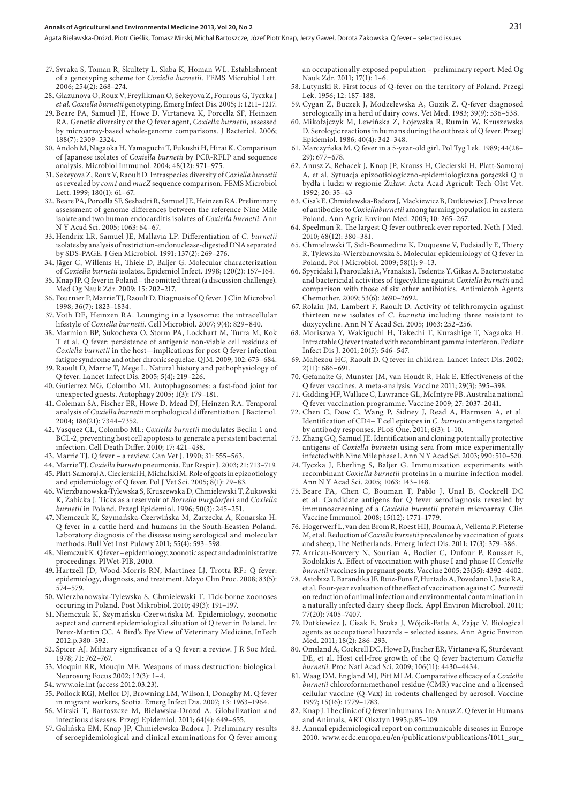Agata Bielawska-Drózd, Piotr Cieślik, Tomasz Mirski, Michał Bartoszcze, Józef Piotr Knap, Jerzy Gaweł, Dorota Żakowska . Q fever – selected issues

- 27. Svraka S, Toman R, Skultety L, Slaba K, Homan WL. Establishment of a genotyping scheme for *Coxiella burnetii*. FEMS Microbiol Lett. 2006; 254(2): 268–274.
- 28. Glazunova O, Roux V, Freylikman O, Sekeyova Z, Fourous G, Tyczka J *et al. Coxiella burnetii* genotyping. Emerg Infect Dis. 2005; 1: 1211–1217.
- 29. Beare PA, Samuel JE, Howe D, Virtaneva K, Porcella SF, Heinzen RA. Genetic diversity of the Q fever agent, *Coxiella burnetii*, assessed by microarray-based whole-genome comparisons. J Bacteriol. 2006; 188(7): 2309–2324.
- 30. Andoh M, Nagaoka H, Yamaguchi T, Fukushi H, Hirai K. Comparison of Japanese isolates of *Coxiella burnetii* by PCR-RFLP and sequence analysis. Microbiol Immunol. 2004; 48(12): 971–975.
- 31. Sekeyova Z, Roux V, Raoult D. Intraspecies diversity of *Coxiella burnetii* as revealed by *com1* and *mucZ* sequence comparison. FEMS Microbiol Lett. 1999; 180(1): 61–67.
- 32. Beare PA, Porcella SF, Seshadri R, Samuel JE, Heinzen RA. Preliminary assessment of genome differences between the reference Nine Mile isolate and two human endocarditis isolates of *Coxiella burnetii*. Ann N Y Acad Sci. 2005; 1063: 64–67.
- 33. Hendrix LR, Samuel JE, Mallavia LP. Differentiation of *C. burnetii*  isolates by analysis of restriction-endonuclease-digested DNA separated by SDS-PAGE. J Gen Microbiol. 1991; 137(2): 269–276.
- 34. Jäger C, Willems H, Thiele D, Baljer G. Molecular characterization of *Coxiella burnetii* isolates. Epidemiol Infect. 1998; 120(2): 157–164.
- 35. Knap JP. Q fever in Poland the omitted threat (a discussion challenge). Med Og Nauk Zdr. 2009; 15: 202–217.
- 36. Fournier P, Marrie TJ, Raoult D. Diagnosis of Q fever. J Clin Microbiol. 1998; 36(7): 1823–1834.
- 37. Voth DE, Heinzen RA. Lounging in a lysosome: the intracellular lifestyle of *Coxiella burnetii*. Cell Microbiol. 2007; 9(4): 829–840.
- 38. Marmion BP, Sukocheva O, Storm PA, Lockhart M, Turra M, Kok T et al*.* Q fever: persistence of antigenic non-viable cell residues of *Coxiella burnetii* in the host—implications for post Q fever infection fatigue syndrome and other chronic sequelae. QJM. 2009; 102: 673–684.
- 39. Raoult D, Marrie T, Mege L. Natural history and pathophysiology of Q fever. Lancet Infect Dis. 2005; 5(4): 219–226.
- 40. Gutierrez MG, Colombo MI. Autophagosomes: a fast-food joint for unexpected guests. Autophagy 2005; 1(3): 179–181.
- 41. Coleman SA, Fischer ER, Howe D, Mead DJ, Heinzen RA. Temporal analysis of *Coxiella burnetii* morphological differentiation. J Bacteriol. 2004; 186(21): 7344–7352.
- 42. Vasquez CL, Colombo MI.: *Coxiella burnetii* modulates Beclin 1 and BCL-2, preventing host cell apoptosis to generate a persistent bacterial infection. Cell Death Differ. 2010; 17: 421–438.
- 43. Marrie TJ. Q fever a review. Can Vet J. 1990; 31: 555–563.
- 44. Marrie TJ. *Coxiella burnetii* pneumonia. Eur Respir J. 2003; 21: 713–719. 45. Platt-Samoraj A, Ciecierski H, Michalski M. Role of goats in epizootiology
- and epidemiology of Q fever. Pol J Vet Sci. 2005; 8(1): 79–83. 46. Wierzbanowska-Tylewska S, Kruszewska D, Chmielewski T, Żukowski K, Żabicka J. Ticks as a reservoir of *Borrelia burgdorferi* and *Coxiella burnetii* in Poland. Przegl Epidemiol. 1996; 50(3): 245–251.
- 47. Niemczuk K, Szymańska-Czerwińska M, Zarzecka A, Konarska H. Q fever in a cattle herd and humans in the South-Eeasten Poland. Laboratory diagnosis of the disease using serological and molecular methods. Bull Vet Inst Pulawy 2011; 55(4): 593–598.
- 48. Niemczuk K. Q fever epidemiology, zoonotic aspect and administrative proceedings. PIWet-PIB, 2010.
- 49. Hartzell JD, Wood-Morris RN, Martinez LJ, Trotta RF.: Q fever: epidemiology, diagnosis, and treatment. Mayo Clin Proc. 2008; 83(5): 574–579.
- 50. Wierzbanowska-Tylewska S, Chmielewski T. Tick-borne zoonoses occuring in Poland. Post Mikrobiol. 2010; 49(3): 191–197.
- 51. Niemczuk K, Szymańska-Czerwińska M. Epidemiology, zoonotic aspect and current epidemiological situation of Q fever in Poland. In: Perez-Martin CC. A Bird's Eye View of Veterinary Medicine, InTech 2012.p.380–392.
- 52. Spicer AJ. Military significance of a Q fever: a review. J R Soc Med. 1978; 71: 762–767.
- 53. Moquin RR, Mouqin ME. Weapons of mass destruction: biological. Neurosurg Focus 2002; 12(3): 1–4.
- 54. www.oie.int (access 2012.03.23).
- 55. Pollock KGJ, Mellor DJ, Browning LM, Wilson I, Donaghy M. Q fever in migrant workers, Scotia. Emerg Infect Dis. 2007; 13: 1963–1964.
- 56. Mirski T, Bartoszcze M, Bielawska-Drózd A. Globalization and infectious diseases. Przegl Epidemiol. 2011; 64(4): 649–655.
- 57. Galińska EM, Knap JP, Chmielewska-Badora J. Preliminary results of seroepidemiological and clinical examinations for Q fever among

an occupationally-exposed population – preliminary report. Med Og Nauk Zdr. 2011; 17(1): 1–6.

- 58. Lutynski R. First focus of Q-fever on the territory of Poland. Przegl Lek. 1956; 12: 187–188.
- 59. Cygan Z, Buczek J, Modzelewska A, Guzik Z. Q-fever diagnosed serologically in a herd of dairy cows. Vet Med. 1983; 39(9): 536–538.
- 60. Mikołajczyk M, Lewińska Z, Łojewska R, Rumin W, Kruszewska D. Serologic reactions in humans during the outbreak of Q fever. Przegl Epidemiol. 1986; 40(4): 342–348.
- 61. Marczyńska M. Q fever in a 5-year-old girl. Pol Tyg Lek. 1989; 44(28– 29): 677–678.
- 62. Anusz Z, Rehacek J, Knap JP, Krauss H, Ciecierski H, Platt-Samoraj A, et al*.* Sytuacja epizootiologiczno-epidemiologiczna gorączki Q u bydła i ludzi w regionie Żuław. Acta Acad Agricult Tech Olst Vet. 1992; 20: 35–43
- 63. Cisak E, Chmielewska-Badora J, Mackiewicz B, Dutkiewicz J. Prevalence of antibodies to *Coxiellaburnetii* among farming population in eastern Poland. Ann Agric Environ Med. 2003; 10: 265–267.
- 64. Speelman R. The largest Q fever outbreak ever reported. Neth J Med. 2010; 68(12): 380–381.
- 65. Chmielewski T, Sidi-Boumedine K, Duquesne V, Podsiadły E, Thiery R, Tylewska-Wierzbanowska S. Molecular epidemiology of Q fever in Poland. Pol J Microbiol. 2009; 58(1): 9–13.
- 66. Spyridaki I, Psaroulaki A, Vranakis I, Tselentis Y, Gikas A. Bacteriostatic and bactericidal activities of tigecykline against *Coxiella burnetii* and comparison with those of six other antibiotics. Antimicrob Agents Chemother. 2009; 53(6): 2690–2692.
- 67. Rolain JM, Lambert F, Raoult D. Activity of telithromycin against thirteen new isolates of *C. burnetii* including three resistant to doxycycline. Ann N Y Acad Sci. 2005; 1063: 252–256.
- 68. Morisawa Y, Wakiguchi H, Takechi T, Kurashige T, Nagaoka H. Intractable Q fever treated with recombinant gamma interferon. Pediatr Infect Dis J. 2001; 20(5): 546–547.
- 69. Maltezou HC, Raoult D. Q fever in children. Lancet Infect Dis. 2002; 2(11): 686–691.
- 70. Gefanaite G, Munster JM, van Houdt R, Hak E. Effectiveness of the Q fever vaccines. A meta-analysis. Vaccine 2011; 29(3): 395–398.
- 71. Gidding HF, Wallace C, Lawrance GL, McIntyre PB. Australia national Q fever vaccination programme. Vaccine 2009; 27: 2037–2041.
- 72. Chen C, Dow C, Wang P, Sidney J, Read A, Harmsen A, et al*.* Identification of CD4+ T cell epitopes in *C. burnetii* antigens targeted by antibody responses. PLoS One. 2011; 6(3): 1–10.
- 73. Zhang GQ, Samuel JE. Identification and cloning potentially protective antigens of *Coxiella burnetii* using sera from mice experimentally infected with Nine Mile phase I. Ann N Y Acad Sci. 2003; 990: 510–520.
- 74. Tyczka J, Eberling S, Baljer G. Immunization experiments with recombinant *Coxiella burnetii* proteins in a murine infection model. Ann N Y Acad Sci. 2005; 1063: 143–148.
- 75. Beare PA, Chen C, Bouman T, Pablo J, Unal B, Cockrell DC et al*.* Candidate antigens for Q fever serodiagnosis revealed by immunoscreening of a *Coxiella burnetii* protein microarray. Clin Vaccine Immunol. 2008; 15(12): 1771–1779.
- 76. Hogerwerf L, van den Brom R, Roest HIJ, Bouma A, Vellema P, Pieterse M, et al. Reduction of *Coxiella burnetii* prevalence by vaccination of goats and sheep, The Netherlands. Emerg Infect Dis. 2011; 17(3): 379–386.
- 77. Arricau-Bouvery N, Souriau A, Bodier C, Dufour P, Rousset E, Rodolakis A. Effect of vaccination with phase I and phase II *Coxiella burnetii* vaccines in pregnant goats. Vaccine 2005; 23(35): 4392–4402.
- 78. Astobiza I, Barandika JF, Ruiz-Fons F, Hurtado A, Povedano I, Juste RA, et al*.* Four-year evaluation of the effect of vaccination against *C. burnetii* on reduction of animal infection and environmental contamination in a naturally infected dairy sheep flock. Appl Environ Microbiol. 2011; 77(20): 7405–7407.
- 79. Dutkiewicz J, Cisak E, Sroka J, Wójcik-Fatla A, Zając V. Biological agents as occupational hazards – selected issues. Ann Agric Environ Med. 2011; 18(2): 286–293.
- 80. Omsland A, Cockrell DC, Howe D, Fischer ER, Virtaneva K, Sturdevant DE, et al. Host cell-free growth of the Q fever bacterium *Coxiella burnetii*. Proc Natl Acad Sci. 2009; 106(11): 4430–4434.
- 81. Waag DM, England MJ, Pitt MLM. Comparative efficacy of a *Coxiella burnetii* chloroform:methanol residue (CMR) vaccine and a licensed cellular vaccine (Q-Vax) in rodents challenged by aerosol. Vaccine 1997; 15(16): 1779–1783.
- 82. Knap J. The clinic of Q fever in humans. In: Anusz Z. Q fever in Humans and Animals, ART Olsztyn 1995.p.85–109.
- 83. Annual epidemiological report on communicable diseases in Europe 2010. www.ecdc.europa.eu/en/publications/publications/1011\_sur\_